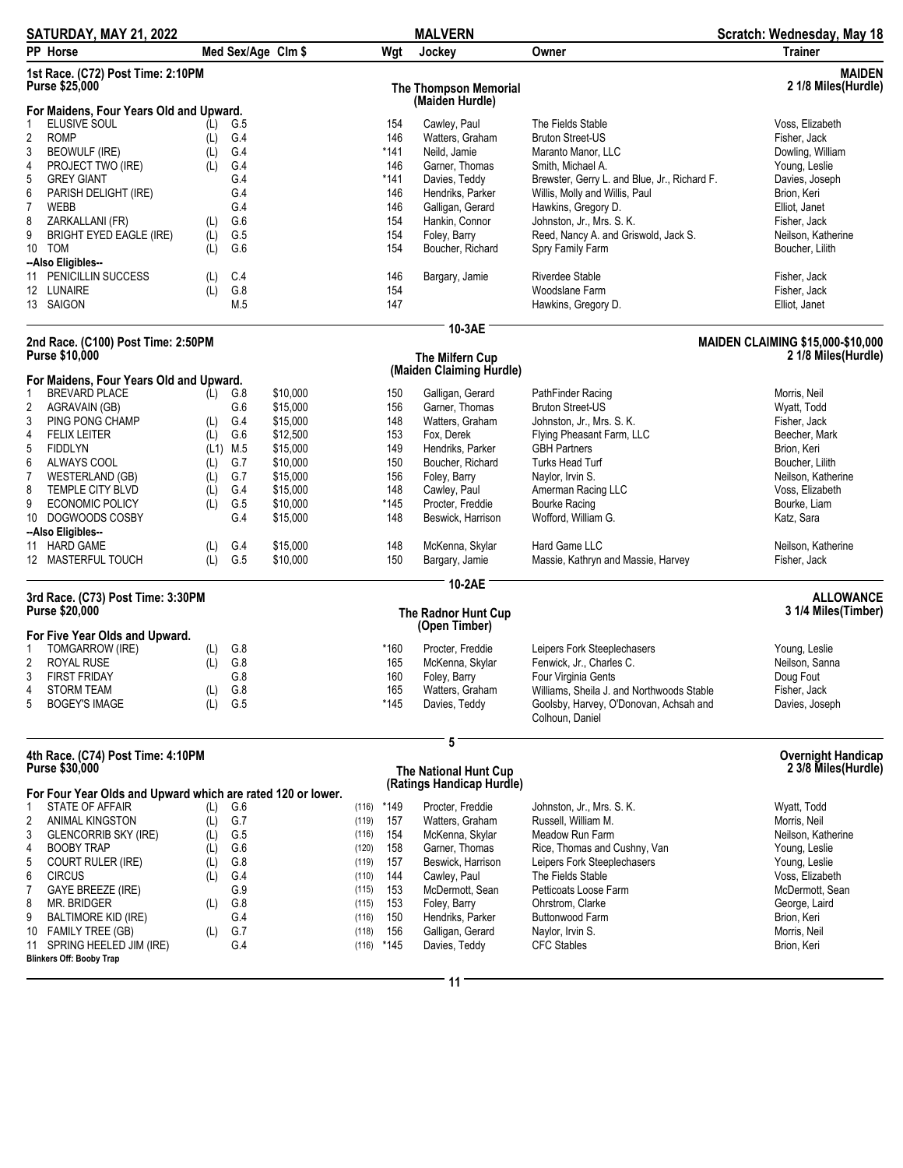| SATURDAY, MAY 21, 2022                                       |            |            |                    |       |            | <b>MALVERN</b>                                     |                                                           | Scratch: Wednesday, May 18               |
|--------------------------------------------------------------|------------|------------|--------------------|-------|------------|----------------------------------------------------|-----------------------------------------------------------|------------------------------------------|
| PP Horse                                                     |            |            | Med Sex/Age Clm \$ |       | Wgt        | Jockey                                             | Owner                                                     | <b>Trainer</b>                           |
| 1st Race. (C72) Post Time: 2:10PM<br>Purse \$25,000          |            |            |                    |       |            | <b>The Thompson Memorial</b><br>(Maiden Hurdle)    |                                                           | <b>MAIDEN</b><br>2 1/8 Miles(Hurdle)     |
| For Maidens, Four Years Old and Upward.<br>ELUSIVE SOUL<br>1 |            |            |                    |       |            | Cawley, Paul                                       | The Fields Stable                                         | Voss, Elizabeth                          |
| $\overline{\mathbf{c}}$<br><b>ROMP</b>                       | (L)<br>(L) | G.5<br>G.4 |                    |       | 154<br>146 | Watters, Graham                                    | <b>Bruton Street-US</b>                                   | Fisher, Jack                             |
| 3<br><b>BEOWULF (IRE)</b>                                    | (L)        | G.4        |                    |       | $*141$     | Neild, Jamie                                       | Maranto Manor, LLC                                        | Dowling, William                         |
| 4<br>PROJECT TWO (IRE)                                       | (L)        | G.4        |                    |       | 146        | Garner, Thomas                                     | Smith, Michael A.                                         | Young, Leslie                            |
| 5<br><b>GREY GIANT</b>                                       |            | G.4        |                    |       | *141       | Davies, Teddy                                      | Brewster, Gerry L. and Blue, Jr., Richard F.              | Davies, Joseph                           |
| 6<br>PARISH DELIGHT (IRE)                                    |            | G.4        |                    |       | 146        | Hendriks, Parker                                   | Willis, Molly and Willis, Paul                            | Brion, Keri                              |
| $\overline{7}$<br><b>WEBB</b>                                |            | G.4        |                    |       | 146        | Galligan, Gerard                                   | Hawkins, Gregory D.                                       | Elliot, Janet                            |
| 8<br>ZARKALLANI (FR)                                         | (L)        | G.6        |                    |       | 154        | Hankin, Connor                                     | Johnston, Jr., Mrs. S. K.                                 | Fisher, Jack                             |
| 9<br><b>BRIGHT EYED EAGLE (IRE)</b>                          | (L)        | G.5        |                    |       | 154        | Foley, Barry                                       | Reed, Nancy A. and Griswold, Jack S.                      | Neilson, Katherine                       |
| 10 TOM                                                       | (L)        | G.6        |                    |       | 154        | Boucher, Richard                                   | Spry Family Farm                                          | Boucher, Lilith                          |
| --Also Eligibles--                                           |            |            |                    |       |            |                                                    |                                                           |                                          |
| 11 PENICILLIN SUCCESS                                        | (L)        | C.4        |                    |       | 146        | Bargary, Jamie                                     | Riverdee Stable                                           | Fisher, Jack                             |
| 12 LUNAIRE                                                   | (L)        | G.8        |                    |       | 154        |                                                    | Woodslane Farm                                            | Fisher, Jack                             |
| 13 SAIGON                                                    |            | M.5        |                    |       | 147        |                                                    | Hawkins, Gregory D.                                       | Elliot, Janet                            |
|                                                              |            |            |                    |       |            | 10-3AE                                             |                                                           |                                          |
| 2nd Race. (C100) Post Time: 2:50PM                           |            |            |                    |       |            |                                                    |                                                           | <b>MAIDEN CLAIMING \$15,000-\$10,000</b> |
| <b>Purse \$10,000</b>                                        |            |            |                    |       |            | The Milfern Cup                                    |                                                           | 2 1/8 Miles(Hurdle)                      |
| For Maidens, Four Years Old and Upward.                      |            |            |                    |       |            | (Maiden Claiming Hurdle)                           |                                                           |                                          |
| <b>BREVARD PLACE</b><br>1                                    |            | $(L)$ G.8  | \$10,000           |       | 150        | Galligan, Gerard                                   | PathFinder Racing                                         | Morris, Neil                             |
| 2<br>AGRAVAIN (GB)                                           |            | G.6        | \$15,000           |       | 156        | Garner, Thomas                                     | <b>Bruton Street-US</b>                                   | Wyatt, Todd                              |
| 3<br>PING PONG CHAMP                                         | (L)        | G.4        | \$15,000           |       | 148        | Watters, Graham                                    | Johnston, Jr., Mrs. S. K.                                 | Fisher, Jack                             |
| 4<br><b>FELIX LEITER</b>                                     | (L)        | G.6        | \$12,500           |       | 153        | Fox, Derek                                         | Flying Pheasant Farm, LLC                                 | Beecher, Mark                            |
| 5<br><b>FIDDLYN</b>                                          |            | $(L1)$ M.5 | \$15,000           |       | 149        | Hendriks, Parker                                   | <b>GBH</b> Partners                                       | Brion, Keri                              |
| 6<br>ALWAYS COOL                                             | (L)        | G.7        | \$10,000           |       | 150        | Boucher, Richard                                   | Turks Head Turf                                           | Boucher, Lilith                          |
| $\overline{7}$<br>WESTERLAND (GB)                            | (L)        | G.7        | \$15,000           |       | 156        | Foley, Barry                                       | Naylor, Irvin S.                                          | Neilson, Katherine                       |
| 8<br>TEMPLE CITY BLVD                                        | (L)        | G.4        | \$15,000           |       | 148        | Cawley, Paul                                       | Amerman Racing LLC                                        | Voss, Elizabeth                          |
| 9<br><b>ECONOMIC POLICY</b>                                  | (L)        | G.5        | \$10,000           |       | $*145$     | Procter, Freddie                                   | Bourke Racing                                             | Bourke, Liam                             |
| DOGWOODS COSBY<br>10                                         |            | G.4        | \$15,000           |       | 148        | Beswick, Harrison                                  | Wofford, William G.                                       | Katz, Sara                               |
| --Also Eligibles--                                           |            |            |                    |       |            |                                                    |                                                           |                                          |
| 11 HARD GAME                                                 | (L)        | G.4        | \$15,000           |       | 148        | McKenna, Skylar                                    | Hard Game LLC                                             | Neilson, Katherine                       |
| 12 MASTERFUL TOUCH                                           | (L)        | G.5        | \$10,000           |       | 150        | Bargary, Jamie                                     | Massie, Kathryn and Massie, Harvey                        | Fisher, Jack                             |
|                                                              |            |            |                    |       |            | 10-2AE                                             |                                                           |                                          |
| 3rd Race. (C73) Post Time: 3:30PM                            |            |            |                    |       |            |                                                    |                                                           | <b>ALLOWANCE</b>                         |
| Purse \$20,000                                               |            |            |                    |       |            | The Radnor Hunt Cup<br>(Open Timber)               |                                                           | 3 1/4 Miles(Timber)                      |
| For Five Year Olds and Upward.                               |            |            |                    |       |            |                                                    |                                                           |                                          |
| TOMGARROW (IRE)                                              | (L)        | G.8        |                    |       | *160       | Procter, Freddie                                   | Leipers Fork Steeplechasers                               | Young, Leslie                            |
| 2<br><b>ROYAL RUSE</b>                                       | (L)        | G.8        |                    |       | 165        | McKenna, Skylar                                    | Fenwick, Jr., Charles C.                                  | Neilson, Sanna                           |
| 3<br><b>FIRST FRIDAY</b>                                     |            | G.8        |                    |       | 160        | Foley, Barry                                       | Four Virginia Gents                                       | Doug Fout                                |
| <b>STORM TEAM</b><br>4                                       | (L)        | G.8        |                    |       | 165        | Watters, Graham                                    | Williams, Sheila J. and Northwoods Stable                 | Fisher, Jack                             |
| 5<br><b>BOGEY'S IMAGE</b>                                    | (L)        | G.5        |                    |       | *145       | Davies, Teddy                                      | Goolsby, Harvey, O'Donovan, Achsah and<br>Colhoun, Daniel | Davies, Joseph                           |
|                                                              |            |            |                    |       |            | 5                                                  |                                                           |                                          |
| 4th Race. (C74) Post Time: 4:10PM                            |            |            |                    |       |            |                                                    |                                                           | <b>Overnight Handicap</b>                |
| Purse \$30,000                                               |            |            |                    |       |            | The National Hunt Cup<br>(Ratings Handicap Hurdle) |                                                           | 2 3/8 Miles(Hurdle)                      |
| For Four Year Olds and Upward which are rated 120 or lower.  |            |            |                    |       |            |                                                    |                                                           |                                          |
| <b>STATE OF AFFAIR</b><br>1                                  | (L)        | G.6        |                    | (116) | *149       | Procter, Freddie                                   | Johnston, Jr., Mrs. S. K.                                 | Wyatt, Todd                              |
| 2<br><b>ANIMAL KINGSTON</b>                                  | (L)        | G.7        |                    | (119) | 157        | Watters, Graham                                    | Russell, William M.                                       | Morris, Neil                             |
| 3<br><b>GLENCORRIB SKY (IRE)</b>                             | (L)        | G.5        |                    | (116) | 154        | McKenna, Skylar                                    | Meadow Run Farm                                           | Neilson, Katherine                       |
| <b>BOOBY TRAP</b><br>4                                       | (L)        | G.6        |                    | (120) | 158        | Garner, Thomas                                     | Rice, Thomas and Cushny, Van                              | Young, Leslie                            |
| 5<br><b>COURT RULER (IRE)</b>                                | (L)        | G.8        |                    | (119) | 157        | Beswick, Harrison                                  | Leipers Fork Steeplechasers                               | Young, Leslie                            |
| 6<br><b>CIRCUS</b>                                           | (L)        | G.4        |                    | (110) | 144        | Cawley, Paul                                       | The Fields Stable                                         | Voss, Elizabeth                          |
| 7<br>GAYE BREEZE (IRE)                                       |            | G.9        |                    | (115) | 153        | McDermott, Sean                                    | Petticoats Loose Farm                                     | McDermott, Sean                          |

10 FAMILY TREE (GB) (L) G.7 (118) 156 Galligan, Gerard Naylor, Irvin S. Morris, Neil 11 SPRING HEELED JIM (IRE) 6.4 CHA (116) \*145 Davies, Teddy CFC Stables CFC Stables Brion, Keri

**Blinkers Off: Booby Trap**

8 MR. BRIDGER (L) G.8 (115) 153 Foley, Barry Ohrstrom, Clarke George, Laird George, Laird 9 BALTIMORE KID (IRE) G.4 (116) 150 Hendriks, Parker Buttonwood Farm Brion, Keri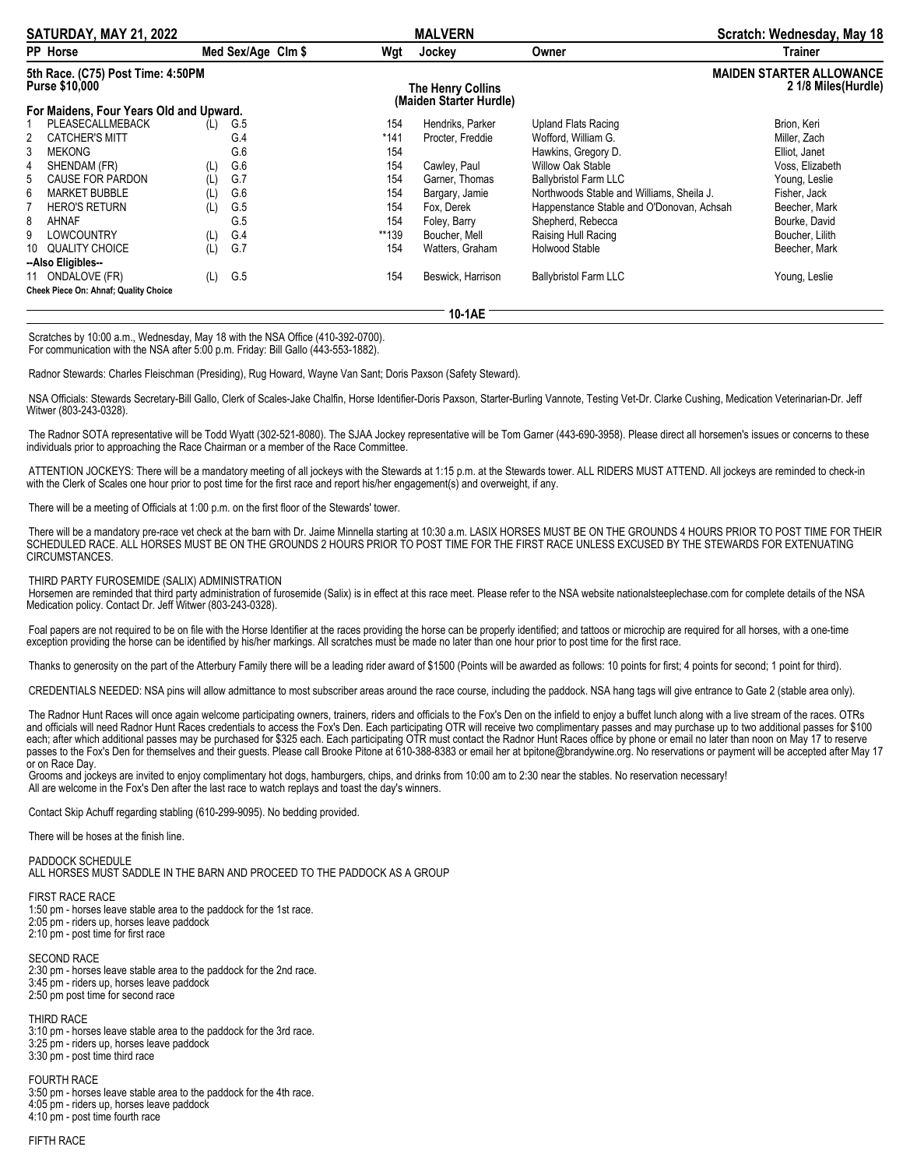| SATURDAY, MAY 21, 2022                                     |                                         |     |                    | <b>MALVERN</b>                                      |                   | Scratch: Wednesday, May 18                             |                 |
|------------------------------------------------------------|-----------------------------------------|-----|--------------------|-----------------------------------------------------|-------------------|--------------------------------------------------------|-----------------|
|                                                            | <b>PP Horse</b>                         |     | Med Sex/Age Clm \$ | Wgt                                                 | Jockey            | Owner                                                  | <b>Trainer</b>  |
| 5th Race. (C75) Post Time: 4:50PM<br><b>Purse \$10,000</b> |                                         |     |                    | <b>The Henry Collins</b><br>(Maiden Starter Hurdle) |                   | <b>MAIDEN STARTER ALLOWANCE</b><br>2 1/8 Miles(Hurdle) |                 |
|                                                            | For Maidens, Four Years Old and Upward. |     |                    |                                                     |                   |                                                        |                 |
|                                                            | PLEASECALLMEBACK                        | (L) | G.5                | 154                                                 | Hendriks, Parker  | Upland Flats Racing                                    | Brion, Keri     |
| 2                                                          | CATCHER'S MITT                          |     | G.4                | *141                                                | Procter, Freddie  | Wofford, William G.                                    | Miller, Zach    |
| 3                                                          | <b>MEKONG</b>                           |     | G.6                | 154                                                 |                   | Hawkins, Gregory D.                                    | Elliot, Janet   |
| 4                                                          | SHENDAM (FR)                            | (L) | G.6                | 154                                                 | Cawley, Paul      | <b>Willow Oak Stable</b>                               | Voss, Elizabeth |
| 5.                                                         | <b>CAUSE FOR PARDON</b>                 | (L) | G.7                | 154                                                 | Garner, Thomas    | <b>Ballybristol Farm LLC</b>                           | Young, Leslie   |
| 6                                                          | <b>MARKET BUBBLE</b>                    | (L) | G.6                | 154                                                 | Bargary, Jamie    | Northwoods Stable and Williams, Sheila J.              | Fisher, Jack    |
|                                                            | <b>HERO'S RETURN</b>                    | (L) | G.5                | 154                                                 | Fox, Derek        | Happenstance Stable and O'Donovan, Achsah              | Beecher, Mark   |
| 8                                                          | AHNAF                                   |     | G.5                | 154                                                 | Foley, Barry      | Shepherd, Rebecca                                      | Bourke, David   |
| 9                                                          | LOWCOUNTRY                              | (L) | G.4                | **139                                               | Boucher, Mell     | Raising Hull Racing                                    | Boucher, Lilith |
|                                                            | 10 QUALITY CHOICE                       | (L) | G.7                | 154                                                 | Watters, Graham   | Holwood Stable                                         | Beecher, Mark   |
|                                                            | --Also Eligibles--                      |     |                    |                                                     |                   |                                                        |                 |
|                                                            | 11 ONDALOVE (FR)                        | (L) | G.5                | 154                                                 | Beswick, Harrison | <b>Ballybristol Farm LLC</b>                           | Young, Leslie   |
|                                                            | Cheek Piece On: Ahnaf; Quality Choice   |     |                    |                                                     |                   |                                                        |                 |
|                                                            |                                         |     |                    |                                                     |                   |                                                        |                 |

**10-1AE**

Scratches by 10:00 a.m., Wednesday, May 18 with the NSA Office (410-392-0700). For communication with the NSA after 5:00 p.m. Friday: Bill Gallo (443-553-1882).

Radnor Stewards: Charles Fleischman (Presiding), Rug Howard, Wayne Van Sant; Doris Paxson (Safety Steward).

NSA Officials: Stewards Secretary-Bill Gallo, Clerk of Scales-Jake Chalfin, Horse Identifier-Doris Paxson, Starter-Burling Vannote, Testing Vet-Dr. Clarke Cushing, Medication Veterinarian-Dr. Jeff Witwer (803-243-0328).

The Radnor SOTA representative will be Todd Wyatt (302-521-8080). The SJAA Jockey representative will be Tom Garner (443-690-3958). Please direct all horsemen's issues or concerns to these individuals prior to approaching the Race Chairman or a member of the Race Committee.

ATTENTION JOCKEYS: There will be a mandatory meeting of all jockeys with the Stewards at 1:15 p.m. at the Stewards tower. ALL RIDERS MUST ATTEND. All jockeys are reminded to check-in with the Clerk of Scales one hour prior to post time for the first race and report his/her engagement(s) and overweight, if any.

There will be a meeting of Officials at 1:00 p.m. on the first floor of the Stewards' tower.

There will be a mandatory pre-race vet check at the barn with Dr. Jaime Minnella starting at 10:30 a.m. LASIX HORSES MUST BE ON THE GROUNDS 4 HOURS PRIOR TO POST TIME FOR THEIR SCHEDULED RACE. ALL HORSES MUST BE ON THE GROUNDS 2 HOURS PRIOR TO POST TIME FOR THE FIRST RACE UNLESS EXCUSED BY THE STEWARDS FOR EXTENUATING CIRCUMSTANCES.

THIRD PARTY FUROSEMIDE (SALIX) ADMINISTRATION

Horsemen are reminded that third party administration of furosemide (Salix) is in effect at this race meet. Please refer to the NSA website nationalsteeplechase.com for complete details of the NSA Medication policy. Contact Dr. Jeff Witwer (803-243-0328).

Foal papers are not required to be on file with the Horse Identifier at the races providing the horse can be properly identified; and tattoos or microchip are required for all horses, with a one-time exception providing the horse can be identified by his/her markings. All scratches must be made no later than one hour prior to post time for the first race.

Thanks to generosity on the part of the Atterbury Family there will be a leading rider award of \$1500 (Points will be awarded as follows: 10 points for first; 4 points for second; 1 point for third).

CREDENTIALS NEEDED: NSA pins will allow admittance to most subscriber areas around the race course, including the paddock. NSA hang tags will give entrance to Gate 2 (stable area only).

The Radnor Hunt Races will once again welcome participating owners, trainers, riders and officials to the Fox's Den on the infield to enjoy a buffet lunch along with a live stream of the races. OTRs and officials will need Radnor Hunt Races credentials to access the Fox's Den. Each participating OTR will receive two complimentary passes and may purchase up to two additional passes for \$100 each; after which additional passes may be purchased for \$325 each. Each participating OTR must contact the Radnor Hunt Races office by phone or email no later than noon on May 17 to reserve passes to the Fox's Den for themselves and their quests. Please call Brooke Pitone at 610-388-8383 or email her at bpitone@brandywine.org. No reservations or payment will be accepted after May 17 or on Race Day.

Grooms and jockeys are invited to enjoy complimentary hot dogs, hamburgers, chips, and drinks from 10:00 am to 2:30 near the stables. No reservation necessary! All are welcome in the Fox's Den after the last race to watch replays and toast the day's winners.

Contact Skip Achuff regarding stabling (610-299-9095). No bedding provided.

There will be hoses at the finish line.

PADDOCK SCHEDULE ALL HORSES MUST SADDLE IN THE BARN AND PROCEED TO THE PADDOCK AS A GROUP

FIRST RACE RACE 1:50 pm - horses leave stable area to the paddock for the 1st race. 2:05 pm - riders up, horses leave paddock 2:10 pm - post time for first race

SECOND RACE 2:30 pm - horses leave stable area to the paddock for the 2nd race. 3:45 pm - riders up, horses leave paddock 2:50 pm post time for second race

THIRD RACE 3:10 pm - horses leave stable area to the paddock for the 3rd race. 3:25 pm - riders up, horses leave paddock 3:30 pm - post time third race

FOURTH RACE 3:50 pm - horses leave stable area to the paddock for the 4th race. 4:05 pm - riders up, horses leave paddock 4:10 pm - post time fourth race

FIFTH RACE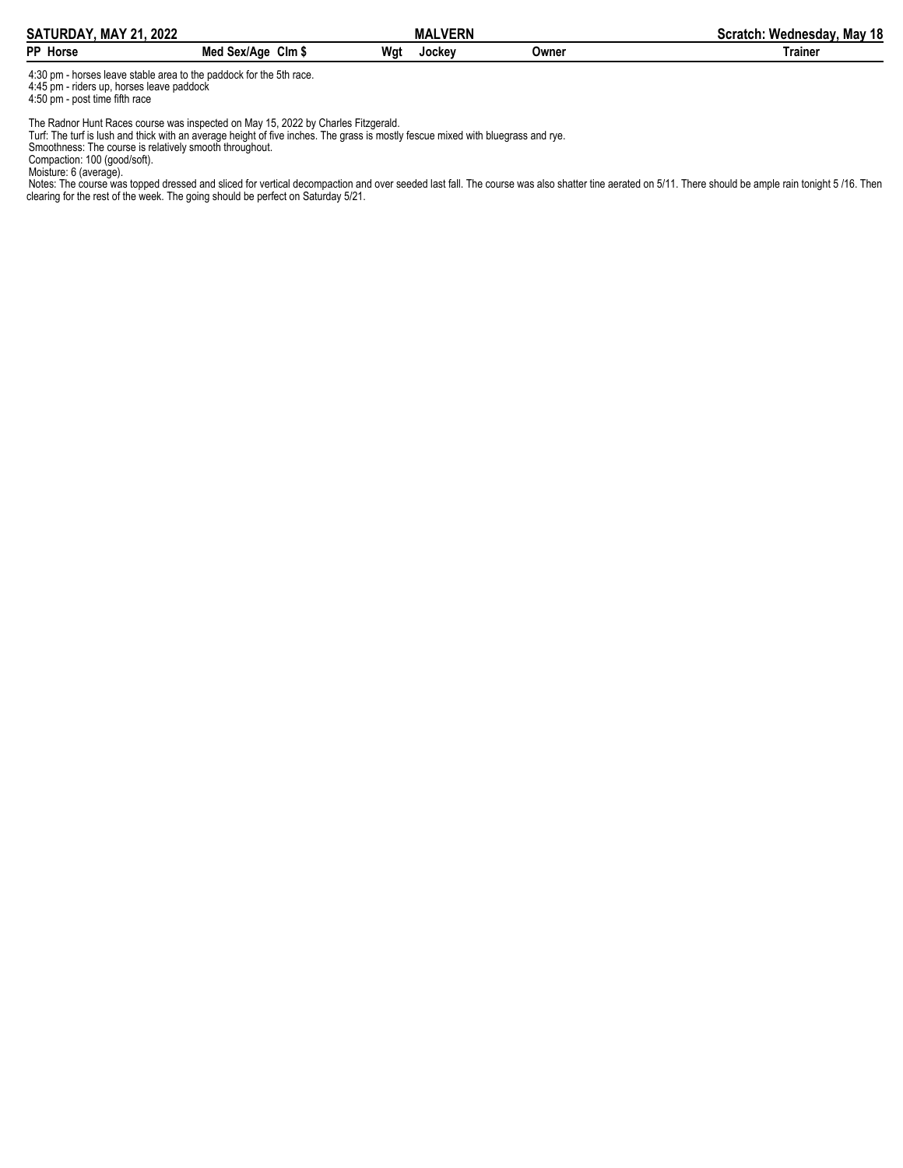| <b>SATURDAY, MAY 21.</b><br>2022 |                                        |     | <b>MALVERN</b><br>MAL |       | May 18<br>Wednesday.<br>Scratch. |
|----------------------------------|----------------------------------------|-----|-----------------------|-------|----------------------------------|
| <b>PP</b> Horse                  | $C$ lm $\,$<br>Sex/Age<br>MAN.<br>.nea | Wat | Jocke∨                | Owner | Trainer                          |

4:30 pm - horses leave stable area to the paddock for the 5th race. 4:45 pm - riders up, horses leave paddock

4:50 pm - post time fifth race

The Radnor Hunt Races course was inspected on May 15, 2022 by Charles Fitzgerald.

Turf: The turf is lush and thick with an average height of five inches. The grass is mostly fescue mixed with bluegrass and rye.

Smoothness: The course is relatively smooth throughout.

Compaction: 100 (good/soft).

Moisture: 6 (average).

Notes: The course was topped dressed and sliced for vertical decompaction and over seeded last fall. The course was also shatter tine aerated on 5/11. There should be ample rain tonight 5 /16. Then clearing for the rest of the week. The going should be perfect on Saturday 5/21.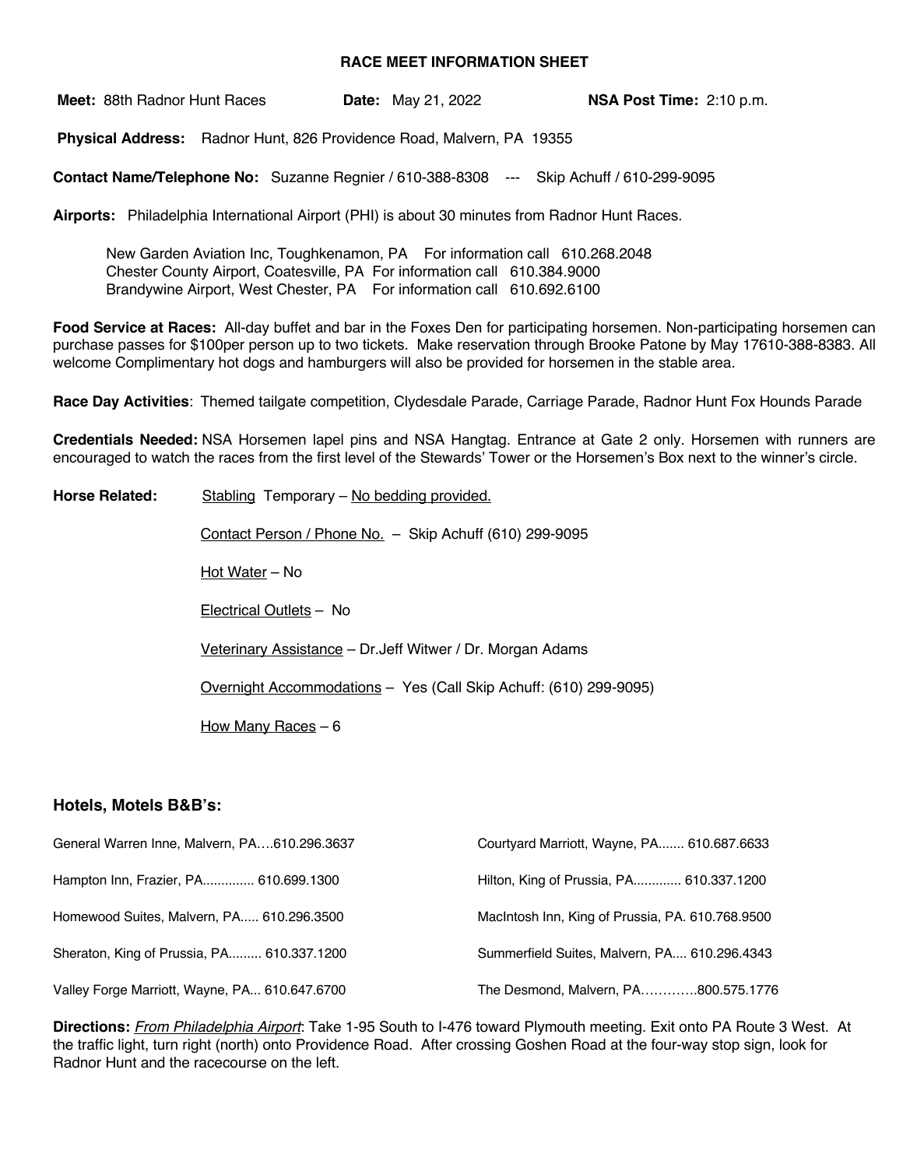## **RACE MEET INFORMATION SHEET**

**Meet:** 88th Radnor Hunt Races **Date:** May 21, 2022 **NSA Post Time:** 2:10 p.m.

**Physical Address:** Radnor Hunt, 826 Providence Road, Malvern, PA 19355

**Contact Name/Telephone No:** Suzanne Regnier / 610-388-8308 --- Skip Achuff / 610-299-9095

**Airports:** Philadelphia International Airport (PHI) is about 30 minutes from Radnor Hunt Races.

New Garden Aviation Inc, Toughkenamon, PA For information call 610.268.2048 Chester County Airport, Coatesville, PA For information call 610.384.9000 Brandywine Airport, West Chester, PA For information call 610.692.6100

**Food Service at Races:** All-day buffet and bar in the Foxes Den for participating horsemen. Non-participating horsemen can purchase passes for \$100per person up to two tickets. Make reservation through Brooke Patone by May 17610-388-8383. All welcome Complimentary hot dogs and hamburgers will also be provided for horsemen in the stable area.

**Race Day Activities**: Themed tailgate competition, Clydesdale Parade, Carriage Parade, Radnor Hunt Fox Hounds Parade

**Credentials Needed:** NSA Horsemen lapel pins and NSA Hangtag. Entrance at Gate 2 only. Horsemen with runners are encouraged to watch the races from the first level of the Stewards' Tower or the Horsemen's Box next to the winner's circle.

Horse Related: Stabling Temporary – No bedding provided. Contact Person / Phone No. – Skip Achuff (610) 299-9095 Hot Water – No Electrical Outlets – No Veterinary Assistance – Dr.Jeff Witwer / Dr. Morgan Adams Overnight Accommodations – Yes (Call Skip Achuff: (610) 299-9095) How Many Races – 6

## **Hotels, Motels B&B's:**

| General Warren Inne, Malvern, PA610.296.3637  | Courtyard Marriott, Wayne, PA 610.687.6633       |
|-----------------------------------------------|--------------------------------------------------|
| Hampton Inn, Frazier, PA 610.699.1300         | Hilton, King of Prussia, PA 610.337.1200         |
| Homewood Suites, Malvern, PA 610.296.3500     | MacIntosh Inn, King of Prussia, PA. 610.768.9500 |
| Sheraton, King of Prussia, PA 610.337.1200    | Summerfield Suites, Malvern, PA, 610.296.4343    |
| Valley Forge Marriott, Wayne, PA 610.647.6700 | The Desmond, Malvern, PA800.575.1776             |

**Directions:** *From Philadelphia Airport*: Take 1-95 South to I-476 toward Plymouth meeting. Exit onto PA Route 3 West. At the traffic light, turn right (north) onto Providence Road. After crossing Goshen Road at the four-way stop sign, look for Radnor Hunt and the racecourse on the left.